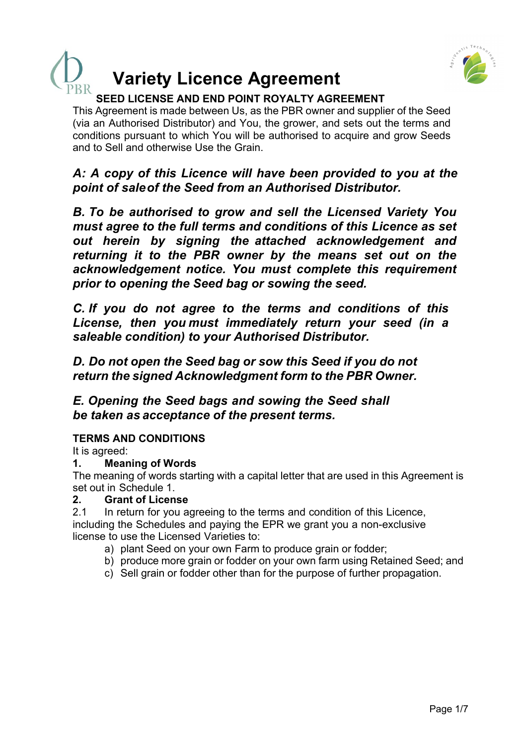

# **Variety Licence Agreement**

## **SEED LICENSE AND END POINT ROYALTY AGREEMENT**

This Agreement is made between Us, as the PBR owner and supplier of the Seed (via an Authorised Distributor) and You, the grower, and sets out the terms and conditions pursuant to which You will be authorised to acquire and grow Seeds and to Sell and otherwise Use the Grain.

*A: A copy of this Licence will have been provided to you at the point of sale of the Seed from an Authorised Distributor.*

*B. To be authorised to grow and sell the Licensed Variety You must agree to the full terms and conditions of this Licence as set out herein by signing the attached acknowledgement and returning it to the PBR owner by the means set out on the acknowledgement notice. You must complete this requirement prior to opening the Seed bag or sowing the seed.*

*C. If you do not agree to the terms and conditions of this License, then you must immediately return your seed (in a saleable condition) to your Authorised Distributor.*

*D. Do not open the Seed bag or sow this Seed if you do not return the signed Acknowledgment form to the PBR Owner.*

*E. Opening the Seed bags and sowing the Seed shall be taken as acceptance of the present terms.*

## **TERMS AND CONDITIONS**

It is agreed:

## **1. Meaning of Words**

The meaning of words starting with a capital letter that are used in this Agreement is set out in Schedule 1.

## **2. Grant of License**

2.1 In return for you agreeing to the terms and condition of this Licence, including the Schedules and paying the EPR we grant you a non-exclusive license to use the Licensed Varieties to:

- a) plant Seed on your own Farm to produce grain or fodder;
- b) produce more grain or fodder on your own farm using Retained Seed; and
- c) Sell grain or fodder other than for the purpose of further propagation.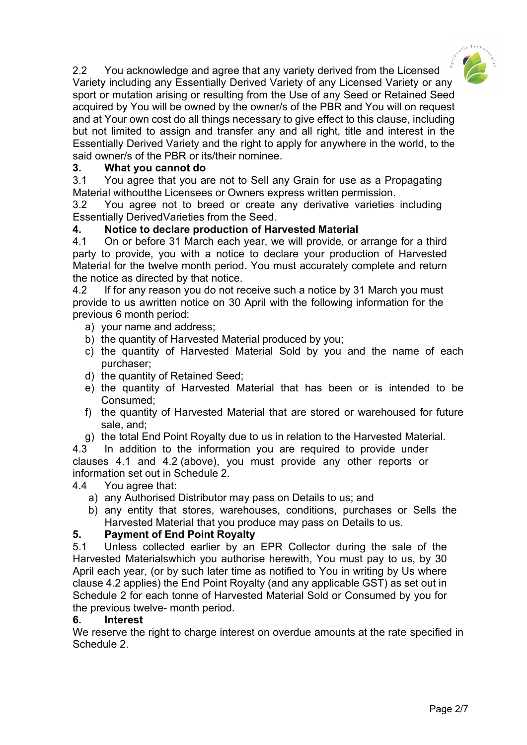

2.2 You acknowledge and agree that any variety derived from the Licensed Variety including any Essentially Derived Variety of any Licensed Variety or any sport or mutation arising or resulting from the Use of any Seed or Retained Seed acquired by You will be owned by the owner/s of the PBR and You will on request and at Your own cost do all things necessary to give effect to this clause, including but not limited to assign and transfer any and all right, title and interest in the Essentially Derived Variety and the right to apply for anywhere in the world, to the said owner/s of the PBR or its/their nominee.

## **3. What you cannot do**

3.1 You agree that you are not to Sell any Grain for use as a Propagating Material withoutthe Licensees or Owners express written permission.

3.2 You agree not to breed or create any derivative varieties including Essentially DerivedVarieties from the Seed.

## **4. Notice to declare production of Harvested Material**

4.1 On or before 31 March each year, we will provide, or arrange for a third party to provide, you with a notice to declare your production of Harvested Material for the twelve month period. You must accurately complete and return the notice as directed by that notice.

4.2 If for any reason you do not receive such a notice by 31 March you must provide to us awritten notice on 30 April with the following information for the previous 6 month period:

- a) your name and address;
- b) the quantity of Harvested Material produced by you;
- c) the quantity of Harvested Material Sold by you and the name of each purchaser;
- d) the quantity of Retained Seed;
- e) the quantity of Harvested Material that has been or is intended to be Consumed;
- f) the quantity of Harvested Material that are stored or warehoused for future sale, and;
- g) the total End Point Royalty due to us in relation to the Harvested Material.

4.3 In addition to the information you are required to provide under clauses 4.1 and 4.2 (above), you must provide any other reports or information set out in Schedule 2.

#### 4.4 You agree that:

- a) any Authorised Distributor may pass on Details to us; and
- b) any entity that stores, warehouses, conditions, purchases or Sells the Harvested Material that you produce may pass on Details to us.

#### **5. Payment of End Point Royalty**

5.1 Unless collected earlier by an EPR Collector during the sale of the Harvested Materialswhich you authorise herewith, You must pay to us, by 30 April each year, (or by such later time as notified to You in writing by Us where clause 4.2 applies) the End Point Royalty (and any applicable GST) as set out in Schedule 2 for each tonne of Harvested Material Sold or Consumed by you for the previous twelve- month period.

#### **6. Interest**

We reserve the right to charge interest on overdue amounts at the rate specified in Schedule 2.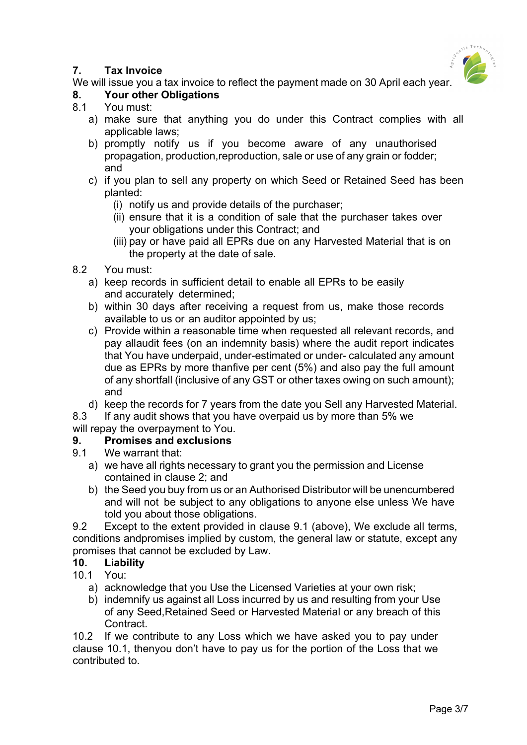## **7. Tax Invoice**



We will issue you a tax invoice to reflect the payment made on 30 April each year.

## **8. Your other Obligations**

- 8.1 You must:
	- a) make sure that anything you do under this Contract complies with all applicable laws;
	- b) promptly notify us if you become aware of any unauthorised propagation, production,reproduction, sale or use of any grain or fodder; and
	- c) if you plan to sell any property on which Seed or Retained Seed has been planted:
		- (i) notify us and provide details of the purchaser;
		- (ii) ensure that it is a condition of sale that the purchaser takes over your obligations under this Contract; and
		- (iii) pay or have paid all EPRs due on any Harvested Material that is on the property at the date of sale.
- 8.2 You must:
	- a) keep records in sufficient detail to enable all EPRs to be easily and accurately determined;
	- b) within 30 days after receiving a request from us, make those records available to us or an auditor appointed by us;
	- c) Provide within a reasonable time when requested all relevant records, and pay allaudit fees (on an indemnity basis) where the audit report indicates that You have underpaid, under-estimated or under- calculated any amount due as EPRs by more thanfive per cent (5%) and also pay the full amount of any shortfall (inclusive of any GST or other taxes owing on such amount); and
	- d) keep the records for 7 years from the date you Sell any Harvested Material.
- 8.3 If any audit shows that you have overpaid us by more than 5% we

will repay the overpayment to You.

## **9. Promises and exclusions**

- 9.1 We warrant that:
	- a) we have all rights necessary to grant you the permission and License contained in clause 2; and
	- b) the Seed you buy from us or an Authorised Distributor will be unencumbered and will not be subject to any obligations to anyone else unless We have told you about those obligations.

9.2 Except to the extent provided in clause 9.1 (above), We exclude all terms, conditions andpromises implied by custom, the general law or statute, except any promises that cannot be excluded by Law.

## **10. Liability**

- 10.1 You:
	- a) acknowledge that you Use the Licensed Varieties at your own risk;
	- b) indemnify us against all Loss incurred by us and resulting from your Use of any Seed,Retained Seed or Harvested Material or any breach of this Contract.

10.2 If we contribute to any Loss which we have asked you to pay under clause 10.1, thenyou don't have to pay us for the portion of the Loss that we contributed to.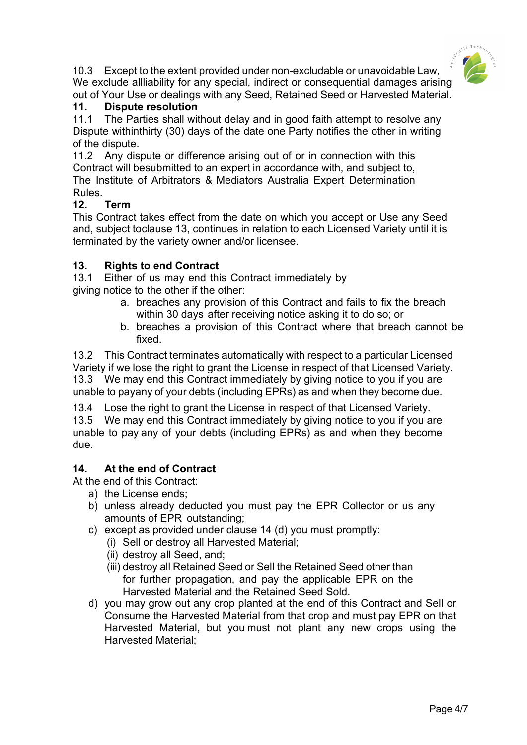

10.3 Except to the extent provided under non-excludable or unavoidable Law, We exclude allliability for any special, indirect or consequential damages arising out of Your Use or dealings with any Seed, Retained Seed or Harvested Material.

#### **11. Dispute resolution**

11.1 The Parties shall without delay and in good faith attempt to resolve any Dispute withinthirty (30) days of the date one Party notifies the other in writing of the dispute.

11.2 Any dispute or difference arising out of or in connection with this Contract will besubmitted to an expert in accordance with, and subject to, The Institute of Arbitrators & Mediators Australia Expert Determination Rules.

#### **12. Term**

This Contract takes effect from the date on which you accept or Use any Seed and, subject toclause 13, continues in relation to each Licensed Variety until it is terminated by the variety owner and/or licensee.

#### **13. Rights to end Contract**

13.1 Either of us may end this Contract immediately by giving notice to the other if the other:

- a. breaches any provision of this Contract and fails to fix the breach within 30 days after receiving notice asking it to do so; or
- b. breaches a provision of this Contract where that breach cannot be fixed.

13.2 This Contract terminates automatically with respect to a particular Licensed Variety if we lose the right to grant the License in respect of that Licensed Variety. 13.3 We may end this Contract immediately by giving notice to you if you are unable to payany of your debts (including EPRs) as and when they become due.

13.4 Lose the right to grant the License in respect of that Licensed Variety.

13.5 We may end this Contract immediately by giving notice to you if you are unable to pay any of your debts (including EPRs) as and when they become due.

## **14. At the end of Contract**

At the end of this Contract:

- a) the License ends;
- b) unless already deducted you must pay the EPR Collector or us any amounts of EPR outstanding;
- c) except as provided under clause 14 (d) you must promptly:
	- (i) Sell or destroy all Harvested Material;
	- (ii) destroy all Seed, and;
	- (iii) destroy all Retained Seed or Sell the Retained Seed other than for further propagation, and pay the applicable EPR on the Harvested Material and the Retained Seed Sold.
- d) you may grow out any crop planted at the end of this Contract and Sell or Consume the Harvested Material from that crop and must pay EPR on that Harvested Material, but you must not plant any new crops using the Harvested Material;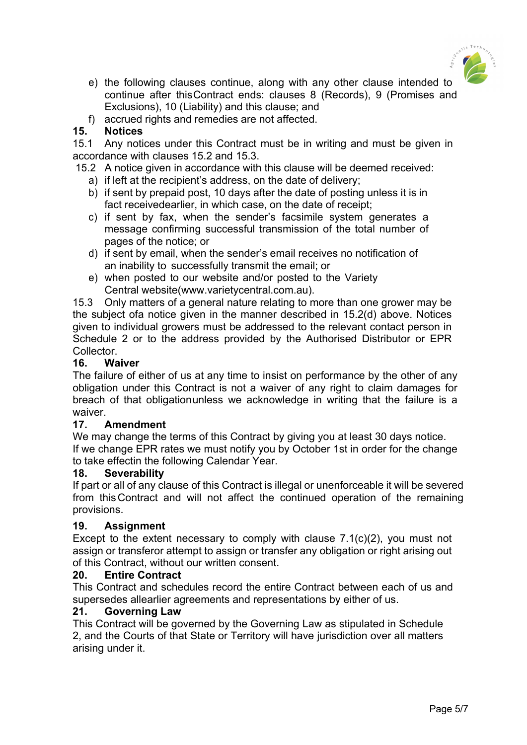

- e) the following clauses continue, along with any other clause intended to continue after thisContract ends: clauses 8 (Records), 9 (Promises and Exclusions), 10 (Liability) and this clause; and
- f) accrued rights and remedies are not affected.

## **15. Notices**

15.1 Any notices under this Contract must be in writing and must be given in accordance with clauses 15.2 and 15.3.

- 15.2 A notice given in accordance with this clause will be deemed received:
	- a) if left at the recipient's address, on the date of delivery;
	- b) if sent by prepaid post, 10 days after the date of posting unless it is in fact receivedearlier, in which case, on the date of receipt;
	- c) if sent by fax, when the sender's facsimile system generates a message confirming successful transmission of the total number of pages of the notice; or
	- d) if sent by email, when the sender's email receives no notification of an inability to successfully transmit the email; or
	- e) when posted to our website and/or posted to the Variety Central website(www.varietycentral.com.au).

15.3 Only matters of a general nature relating to more than one grower may be the subject ofa notice given in the manner described in 15.2(d) above. Notices given to individual growers must be addressed to the relevant contact person in Schedule 2 or to the address provided by the Authorised Distributor or EPR Collector.

## **16. Waiver**

The failure of either of us at any time to insist on performance by the other of any obligation under this Contract is not a waiver of any right to claim damages for breach of that obligationunless we acknowledge in writing that the failure is a waiver.

## **17. Amendment**

We may change the terms of this Contract by giving you at least 30 days notice. If we change EPR rates we must notify you by October 1st in order for the change to take effectin the following Calendar Year.

## **18. Severability**

If part or all of any clause of this Contract is illegal or unenforceable it will be severed from this Contract and will not affect the continued operation of the remaining provisions.

## **19. Assignment**

Except to the extent necessary to comply with clause 7.1(c)(2), you must not assign or transferor attempt to assign or transfer any obligation or right arising out of this Contract, without our written consent.

## **20. Entire Contract**

This Contract and schedules record the entire Contract between each of us and supersedes allearlier agreements and representations by either of us.

## **21. Governing Law**

This Contract will be governed by the Governing Law as stipulated in Schedule 2, and the Courts of that State or Territory will have jurisdiction over all matters arising under it.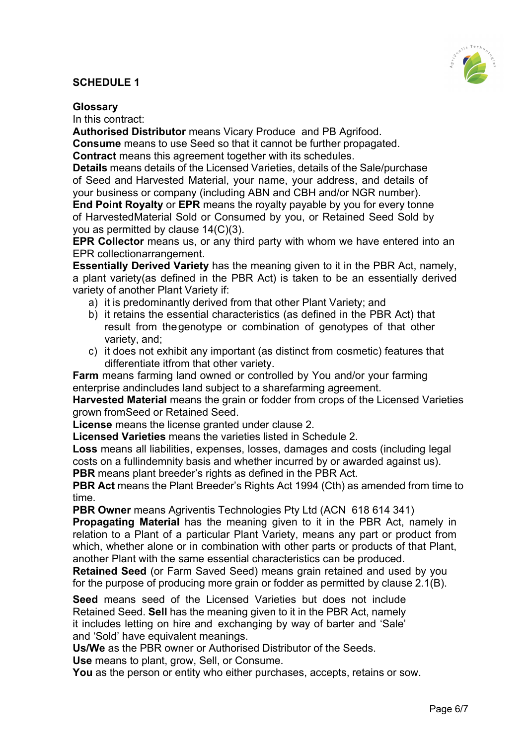## **SCHEDULE 1**



#### **Glossary**

In this contract:

**Authorised Distributor** means Vicary Produce and PB Agrifood.

**Consume** means to use Seed so that it cannot be further propagated.

**Contract** means this agreement together with its schedules.

**Details** means details of the Licensed Varieties, details of the Sale/purchase of Seed and Harvested Material, your name, your address, and details of your business or company (including ABN and CBH and/or NGR number).

**End Point Royalty** or **EPR** means the royalty payable by you for every tonne of HarvestedMaterial Sold or Consumed by you, or Retained Seed Sold by you as permitted by clause 14(C)(3).

**EPR Collector** means us, or any third party with whom we have entered into an EPR collectionarrangement.

**Essentially Derived Variety** has the meaning given to it in the PBR Act, namely, a plant variety(as defined in the PBR Act) is taken to be an essentially derived variety of another Plant Variety if:

- a) it is predominantly derived from that other Plant Variety; and
- b) it retains the essential characteristics (as defined in the PBR Act) that result from thegenotype or combination of genotypes of that other variety, and;
- c) it does not exhibit any important (as distinct from cosmetic) features that differentiate itfrom that other variety.

**Farm** means farming land owned or controlled by You and/or your farming enterprise andincludes land subject to a sharefarming agreement.

**Harvested Material** means the grain or fodder from crops of the Licensed Varieties grown fromSeed or Retained Seed.

**License** means the license granted under clause 2.

**Licensed Varieties** means the varieties listed in Schedule 2.

**Loss** means all liabilities, expenses, losses, damages and costs (including legal costs on a fullindemnity basis and whether incurred by or awarded against us). **PBR** means plant breeder's rights as defined in the PBR Act.

**PBR Act** means the Plant Breeder's Rights Act 1994 (Cth) as amended from time to time.

**PBR Owner** means Agriventis Technologies Pty Ltd (ACN 618 614 341)

**Propagating Material** has the meaning given to it in the PBR Act, namely in relation to a Plant of a particular Plant Variety, means any part or product from which, whether alone or in combination with other parts or products of that Plant, another Plant with the same essential characteristics can be produced.

**Retained Seed** (or Farm Saved Seed) means grain retained and used by you for the purpose of producing more grain or fodder as permitted by clause 2.1(B).

**Seed** means seed of the Licensed Varieties but does not include Retained Seed. **Sell** has the meaning given to it in the PBR Act, namely it includes letting on hire and exchanging by way of barter and 'Sale' and 'Sold' have equivalent meanings.

**Us/We** as the PBR owner or Authorised Distributor of the Seeds. **Use** means to plant, grow, Sell, or Consume.

**You** as the person or entity who either purchases, accepts, retains or sow.